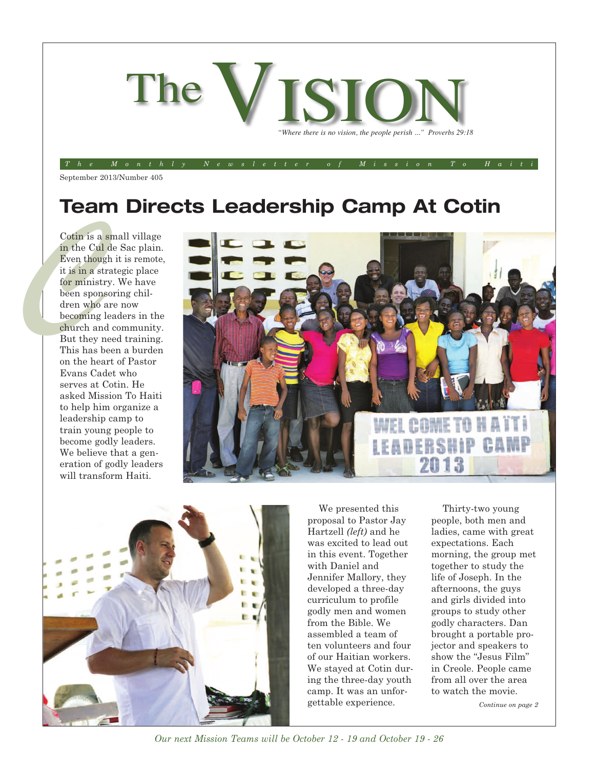

The Monthly Newsletter of Mission To Haiti

September 2013/Number 405

### **Team Directs Leadership Camp At Cotin**

Cotin is a<br>in the Cull<br>Even thought is in a strategy<br>it is in a strategy<br>dren spon<br>dren who<br>becoming<br>church an<br>But they i<br>This has b Cotin is a small village in the Cul de Sac plain. Even though it is remote, it is in a strategic place for ministry. We have been sponsoring children who are now becoming leaders in the church and community. But they need training. This has been a burden on the heart of Pastor Evans Cadet who serves at Cotin. He asked Mission To Haiti to help him organize a leadership camp to train young people to become godly leaders. We believe that a generation of godly leaders will transform Haiti.





We presented this proposal to Pastor Jay Hartzell *(left)* and he was excited to lead out in this event. Together with Daniel and Jennifer Mallory, they developed a three-day curriculum to profile godly men and women from the Bible. We assembled a team of ten volunteers and four of our Haitian workers. We stayed at Cotin during the three-day youth camp. It was an unforgettable experience.

Thirty-two young people, both men and ladies, came with great expectations. Each morning, the group met together to study the life of Joseph. In the afternoons, the guys and girls divided into groups to study other godly characters. Dan brought a portable projector and speakers to show the "Jesus Film" in Creole. People came from all over the area to watch the movie.

*Continue on page 2*

*Our next Mission Teams will be October 12 - 19 and October 19 - 26*